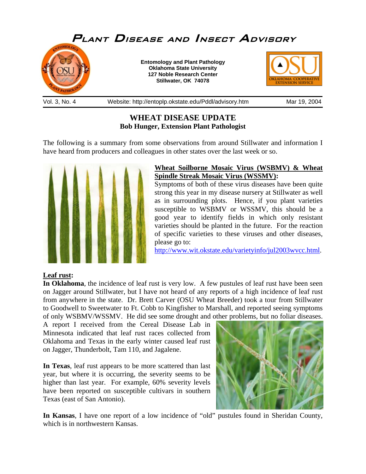

# **WHEAT DISEASE UPDATE Bob Hunger, Extension Plant Pathologist**

The following is a summary from some observations from around Stillwater and information I have heard from producers and colleagues in other states over the last week or so.



## **Wheat Soilborne Mosaic Virus (WSBMV) & Wheat Spindle Streak Mosaic Virus (WSSMV):**

Symptoms of both of these virus diseases have been quite strong this year in my disease nursery at Stillwater as well as in surrounding plots. Hence, if you plant varieties susceptible to WSBMV or WSSMV, this should be a good year to identify fields in which only resistant varieties should be planted in the future. For the reaction of specific varieties to these viruses and other diseases, please go to:

<http://www.wit.okstate.edu/varietyinfo/jul2003wvcc.html>.

## **Leaf rust:**

**In Oklahoma**, the incidence of leaf rust is very low. A few pustules of leaf rust have been seen on Jagger around Stillwater, but I have not heard of any reports of a high incidence of leaf rust from anywhere in the state. Dr. Brett Carver (OSU Wheat Breeder) took a tour from Stillwater to Goodwell to Sweetwater to Ft. Cobb to Kingfisher to Marshall, and reported seeing symptoms of only WSBMV/WSSMV. He did see some drought and other problems, but no foliar diseases.

A report I received from the Cereal Disease Lab in Minnesota indicated that leaf rust races collected from Oklahoma and Texas in the early winter caused leaf rust on Jagger, Thunderbolt, Tam 110, and Jagalene.

**In Texas**, leaf rust appears to be more scattered than last year, but where it is occurring, the severity seems to be higher than last year. For example, 60% severity levels have been reported on susceptible cultivars in southern Texas (east of San Antonio).



**In Kansas**, I have one report of a low incidence of "old" pustules found in Sheridan County, which is in northwestern Kansas.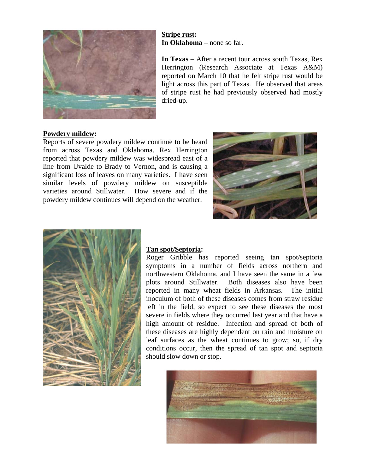

### **Stripe rust: In Oklahoma** – none so far.

**In Texas** – After a recent tour across south Texas, Rex Herrington (Research Associate at Texas A&M) reported on March 10 that he felt stripe rust would be light across this part of Texas. He observed that areas of stripe rust he had previously observed had mostly dried-up.

#### **Powdery mildew:**

Reports of severe powdery mildew continue to be heard from across Texas and Oklahoma. Rex Herrington reported that powdery mildew was widespread east of a line from Uvalde to Brady to Vernon, and is causing a significant loss of leaves on many varieties. I have seen similar levels of powdery mildew on susceptible varieties around Stillwater. How severe and if the powdery mildew continues will depend on the weather.





#### **Tan spot/Septoria:**

Roger Gribble has reported seeing tan spot/septoria symptoms in a number of fields across northern and northwestern Oklahoma, and I have seen the same in a few plots around Stillwater. Both diseases also have been reported in many wheat fields in Arkansas. The initial inoculum of both of these diseases comes from straw residue left in the field, so expect to see these diseases the most severe in fields where they occurred last year and that have a high amount of residue. Infection and spread of both of these diseases are highly dependent on rain and moisture on leaf surfaces as the wheat continues to grow; so, if dry conditions occur, then the spread of tan spot and septoria should slow down or stop.